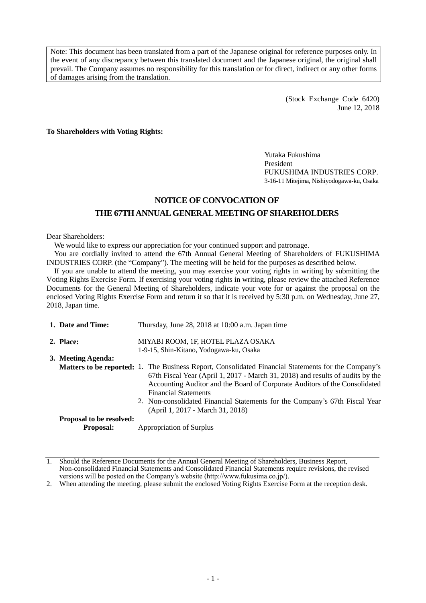Note: This document has been translated from a part of the Japanese original for reference purposes only. In the event of any discrepancy between this translated document and the Japanese original, the original shall prevail. The Company assumes no responsibility for this translation or for direct, indirect or any other forms of damages arising from the translation.

> (Stock Exchange Code 6420) June 12, 2018

**To Shareholders with Voting Rights:**

Yutaka Fukushima President FUKUSHIMA INDUSTRIES CORP. 3-16-11 Mitejima, Nishiyodogawa-ku, Osaka

# **NOTICE OF CONVOCATION OF THE 67THANNUAL GENERAL MEETING OF SHAREHOLDERS**

Dear Shareholders:

We would like to express our appreciation for your continued support and patronage.

You are cordially invited to attend the 67th Annual General Meeting of Shareholders of FUKUSHIMA INDUSTRIES CORP. (the "Company"). The meeting will be held for the purposes as described below.

If you are unable to attend the meeting, you may exercise your voting rights in writing by submitting the Voting Rights Exercise Form. If exercising your voting rights in writing, please review the attached Reference Documents for the General Meeting of Shareholders, indicate your vote for or against the proposal on the enclosed Voting Rights Exercise Form and return it so that it is received by 5:30 p.m. on Wednesday, June 27, 2018, Japan time.

| 1. Date and Time:               | Thursday, June 28, 2018 at 10:00 a.m. Japan time                                                                                                                                                                                                                                                                                                                                                                             |
|---------------------------------|------------------------------------------------------------------------------------------------------------------------------------------------------------------------------------------------------------------------------------------------------------------------------------------------------------------------------------------------------------------------------------------------------------------------------|
| 2. Place:                       | MIYABI ROOM, 1F, HOTEL PLAZA OSAKA<br>1-9-15, Shin-Kitano, Yodogawa-ku, Osaka                                                                                                                                                                                                                                                                                                                                                |
| 3. Meeting Agenda:              |                                                                                                                                                                                                                                                                                                                                                                                                                              |
|                                 | <b>Matters to be reported:</b> 1. The Business Report, Consolidated Financial Statements for the Company's<br>67th Fiscal Year (April 1, 2017 - March 31, 2018) and results of audits by the<br>Accounting Auditor and the Board of Corporate Auditors of the Consolidated<br><b>Financial Statements</b><br>2. Non-consolidated Financial Statements for the Company's 67th Fiscal Year<br>(April 1, 2017 - March 31, 2018) |
| <b>Proposal to be resolved:</b> |                                                                                                                                                                                                                                                                                                                                                                                                                              |
| <b>Proposal:</b>                | Appropriation of Surplus                                                                                                                                                                                                                                                                                                                                                                                                     |

<sup>1.</sup> Should the Reference Documents for the Annual General Meeting of Shareholders, Business Report, Non-consolidated Financial Statements and Consolidated Financial Statements require revisions, the revised versions will be posted on the Company's website (http://www.fukusima.co.jp/).

<sup>2.</sup> When attending the meeting, please submit the enclosed Voting Rights Exercise Form at the reception desk.